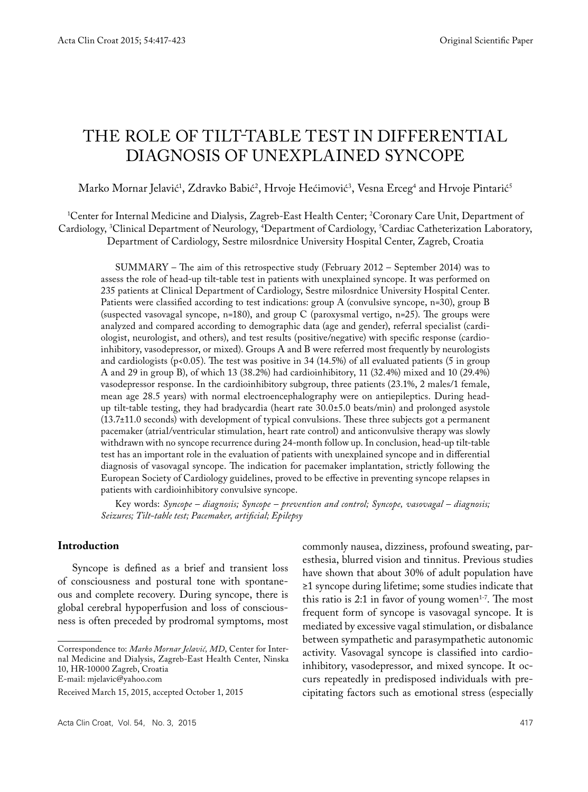# THE ROLE OF TILT-TABLE TEST IN DIFFERENTIAL DIAGNOSIS OF UNEXPLAINED SYNCOPE

Marko Mornar Jelavić', Zdravko Babić', Hrvoje Hećimović', Vesna Erceg<sup>4</sup> and Hrvoje Pintarić<sup>s</sup>

1 Center for Internal Medicine and Dialysis, Zagreb-East Health Center; 2 Coronary Care Unit, Department of Cardiology, 3 Clinical Department of Neurology, 4 Department of Cardiology, 5 Cardiac Catheterization Laboratory, Department of Cardiology, Sestre milosrdnice University Hospital Center, Zagreb, Croatia

SUMMARY – The aim of this retrospective study (February 2012 – September 2014) was to assess the role of head-up tilt-table test in patients with unexplained syncope. It was performed on 235 patients at Clinical Department of Cardiology, Sestre milosrdnice University Hospital Center. Patients were classified according to test indications: group A (convulsive syncope, n=30), group B (suspected vasovagal syncope, n=180), and group C (paroxysmal vertigo, n=25). The groups were analyzed and compared according to demographic data (age and gender), referral specialist (cardiologist, neurologist, and others), and test results (positive/negative) with specific response (cardioinhibitory, vasodepressor, or mixed). Groups A and B were referred most frequently by neurologists and cardiologists (p*<*0.05). The test was positive in 34 (14.5%) of all evaluated patients (5 in group A and 29 in group B), of which 13 (38.2%) had cardioinhibitory, 11 (32.4%) mixed and 10 (29.4%) vasodepressor response. In the cardioinhibitory subgroup, three patients (23.1%, 2 males/1 female, mean age 28.5 years) with normal electroencephalography were on antiepileptics. During headup tilt-table testing, they had bradycardia (heart rate 30.0±5.0 beats/min) and prolonged asystole (13.7±11.0 seconds) with development of typical convulsions. These three subjects got a permanent pacemaker (atrial/ventricular stimulation, heart rate control) and anticonvulsive therapy was slowly withdrawn with no syncope recurrence during 24-month follow up. In conclusion, head-up tilt-table test has an important role in the evaluation of patients with unexplained syncope and in differential diagnosis of vasovagal syncope. The indication for pacemaker implantation, strictly following the European Society of Cardiology guidelines, proved to be effective in preventing syncope relapses in patients with cardioinhibitory convulsive syncope.

Key words: *Syncope – diagnosis; Syncope – prevention and control; Syncope, vasovagal – diagnosis; Seizures; Tilt-table test; Pacemaker, artificial; Epilepsy*

## **Introduction**

Syncope is defined as a brief and transient loss of consciousness and postural tone with spontaneous and complete recovery. During syncope, there is global cerebral hypoperfusion and loss of consciousness is often preceded by prodromal symptoms, most

Correspondence to: *Marko Mornar Jelavić, MD*, Center for Internal Medicine and Dialysis, Zagreb-East Health Center, Ninska 10, HR-10000 Zagreb, Croatia

E-mail: mjelavic@yahoo.com

commonly nausea, dizziness, profound sweating, paresthesia, blurred vision and tinnitus. Previous studies have shown that about 30% of adult population have ≥1 syncope during lifetime; some studies indicate that this ratio is 2:1 in favor of young women<sup>1-7</sup>. The most frequent form of syncope is vasovagal syncope. It is mediated by excessive vagal stimulation, or disbalance between sympathetic and parasympathetic autonomic activity. Vasovagal syncope is classified into cardioinhibitory, vasodepressor, and mixed syncope. It occurs repeatedly in predisposed individuals with precipitating factors such as emotional stress (especially

Received March 15, 2015, accepted October 1, 2015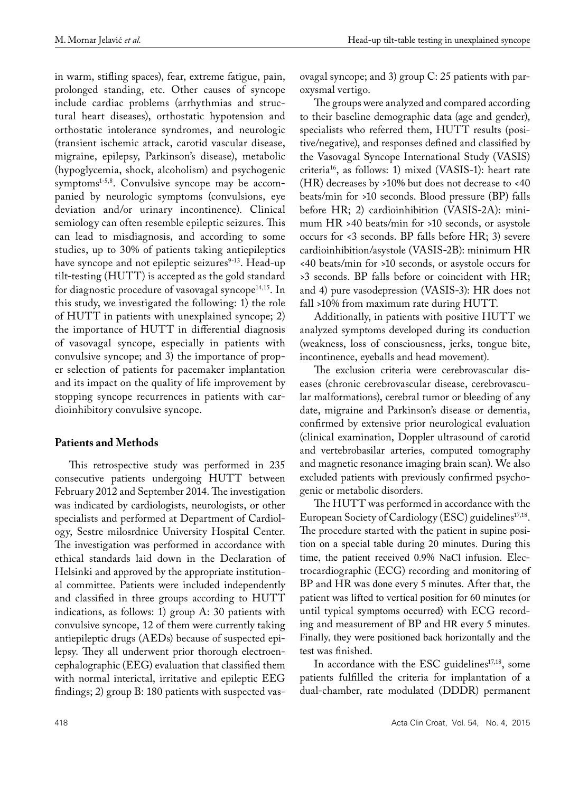in warm, stifling spaces), fear, extreme fatigue, pain, prolonged standing, etc. Other causes of syncope include cardiac problems (arrhythmias and structural heart diseases), orthostatic hypotension and orthostatic intolerance syndromes, and neurologic (transient ischemic attack, carotid vascular disease, migraine, epilepsy, Parkinson's disease), metabolic (hypoglycemia, shock, alcoholism) and psychogenic symptoms $1-5,8$ . Convulsive syncope may be accompanied by neurologic symptoms (convulsions, eye deviation and/or urinary incontinence). Clinical semiology can often resemble epileptic seizures. This can lead to misdiagnosis, and according to some studies, up to 30% of patients taking antiepileptics have syncope and not epileptic seizures $9-13$ . Head-up tilt-testing (HUTT) is accepted as the gold standard for diagnostic procedure of vasovagal syncope<sup>14,15</sup>. In this study, we investigated the following: 1) the role of HUTT in patients with unexplained syncope; 2) the importance of HUTT in differential diagnosis of vasovagal syncope, especially in patients with convulsive syncope; and 3) the importance of proper selection of patients for pacemaker implantation and its impact on the quality of life improvement by stopping syncope recurrences in patients with cardioinhibitory convulsive syncope.

# **Patients and Methods**

This retrospective study was performed in 235 consecutive patients undergoing HUTT between February 2012 and September 2014. The investigation was indicated by cardiologists, neurologists, or other specialists and performed at Department of Cardiology, Sestre milosrdnice University Hospital Center. The investigation was performed in accordance with ethical standards laid down in the Declaration of Helsinki and approved by the appropriate institutional committee. Patients were included independently and classified in three groups according to HUTT indications, as follows: 1) group A: 30 patients with convulsive syncope, 12 of them were currently taking antiepileptic drugs (AEDs) because of suspected epilepsy. They all underwent prior thorough electroencephalographic (EEG) evaluation that classified them with normal interictal, irritative and epileptic EEG findings; 2) group B: 180 patients with suspected vasovagal syncope; and 3) group C: 25 patients with paroxysmal vertigo.

The groups were analyzed and compared according to their baseline demographic data (age and gender), specialists who referred them, HUTT results (positive/negative), and responses defined and classified by the Vasovagal Syncope International Study (VASIS) criteria16, as follows: 1) mixed (VASIS-1): heart rate (HR) decreases by >10% but does not decrease to <40 beats/min for >10 seconds. Blood pressure (BP) falls before HR; 2) cardioinhibition (VASIS-2A): minimum HR >40 beats/min for >10 seconds, or asystole occurs for <3 seconds. BP falls before HR; 3) severe cardioinhibition/asystole (VASIS-2B): minimum HR <40 beats/min for >10 seconds, or asystole occurs for >3 seconds. BP falls before or coincident with HR; and 4) pure vasodepression (VASIS-3): HR does not fall >10% from maximum rate during HUTT.

Additionally, in patients with positive HUTT we analyzed symptoms developed during its conduction (weakness, loss of consciousness, jerks, tongue bite, incontinence, eyeballs and head movement).

The exclusion criteria were cerebrovascular diseases (chronic cerebrovascular disease, cerebrovascular malformations), cerebral tumor or bleeding of any date, migraine and Parkinson's disease or dementia, confirmed by extensive prior neurological evaluation (clinical examination, Doppler ultrasound of carotid and vertebrobasilar arteries, computed tomography and magnetic resonance imaging brain scan). We also excluded patients with previously confirmed psychogenic or metabolic disorders.

The HUTT was performed in accordance with the European Society of Cardiology (ESC) guidelines<sup>17,18</sup>. The procedure started with the patient in supine position on a special table during 20 minutes. During this time, the patient received 0.9% NaCl infusion. Electrocardiographic (ECG) recording and monitoring of BP and HR was done every 5 minutes. After that, the patient was lifted to vertical position for 60 minutes (or until typical symptoms occurred) with ECG recording and measurement of BP and HR every 5 minutes. Finally, they were positioned back horizontally and the test was finished.

In accordance with the ESC guidelines<sup>17,18</sup>, some patients fulfilled the criteria for implantation of a dual-chamber, rate modulated (DDDR) permanent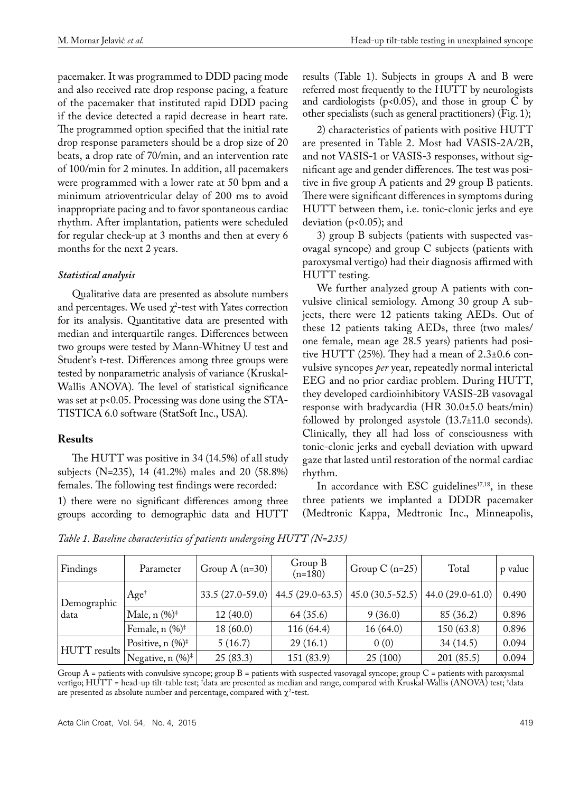pacemaker. It was programmed to DDD pacing mode and also received rate drop response pacing, a feature of the pacemaker that instituted rapid DDD pacing if the device detected a rapid decrease in heart rate. The programmed option specified that the initial rate drop response parameters should be a drop size of 20 beats, a drop rate of 70/min, and an intervention rate of 100/min for 2 minutes. In addition, all pacemakers were programmed with a lower rate at 50 bpm and a minimum atrioventricular delay of 200 ms to avoid inappropriate pacing and to favor spontaneous cardiac rhythm. After implantation, patients were scheduled for regular check-up at 3 months and then at every 6 months for the next 2 years.

# *Statistical analysis*

Qualitative data are presented as absolute numbers and percentages. We used  $\chi^2$ -test with Yates correction for its analysis. Quantitative data are presented with median and interquartile ranges. Differences between two groups were tested by Mann-Whitney U test and Student's t-test. Differences among three groups were tested by nonparametric analysis of variance (Kruskal-Wallis ANOVA). The level of statistical significance was set at p<0.05. Processing was done using the STA-TISTICA 6.0 software (StatSoft Inc., USA).

# **Results**

The HUTT was positive in 34 (14.5%) of all study subjects (N=235), 14 (41.2%) males and 20 (58.8%) females. The following test findings were recorded:

1) there were no significant differences among three groups according to demographic data and HUTT

results (Table 1). Subjects in groups A and B were referred most frequently to the HUTT by neurologists and cardiologists (p*<*0.05), and those in group C by other specialists (such as general practitioners) (Fig. 1);

2) characteristics of patients with positive HUTT are presented in Table 2. Most had VASIS-2A/2B, and not VASIS-1 or VASIS-3 responses, without significant age and gender differences. The test was positive in five group A patients and 29 group B patients. There were significant differences in symptoms during HUTT between them, i.e. tonic-clonic jerks and eye deviation (p<0.05); and

3) group B subjects (patients with suspected vasovagal syncope) and group C subjects (patients with paroxysmal vertigo) had their diagnosis affirmed with HUTT testing.

We further analyzed group A patients with convulsive clinical semiology. Among 30 group A subjects, there were 12 patients taking AEDs. Out of these 12 patients taking AEDs, three (two males/ one female, mean age 28.5 years) patients had positive HUTT (25%). They had a mean of 2.3±0.6 convulsive syncopes *per* year, repeatedly normal interictal EEG and no prior cardiac problem. During HUTT, they developed cardioinhibitory VASIS-2B vasovagal response with bradycardia (HR 30.0±5.0 beats/min) followed by prolonged asystole (13.7±11.0 seconds). Clinically, they all had loss of consciousness with tonic-clonic jerks and eyeball deviation with upward gaze that lasted until restoration of the normal cardiac rhythm.

In accordance with ESC guidelines $17,18$ , in these three patients we implanted a DDDR pacemaker (Medtronic Kappa, Medtronic Inc., Minneapolis,

*Table 1. Baseline characteristics of patients undergoing HUTT (N=235)*

| Findings            | Parameter                                          | Group $A(n=30)$   | Group B<br>$(n=180)$ | Group C $(n=25)$  | Total             | p value |
|---------------------|----------------------------------------------------|-------------------|----------------------|-------------------|-------------------|---------|
| Demographic<br>data | $Age^{\dagger}$                                    | $33.5(27.0-59.0)$ | $44.5(29.0-63.5)$    | $45.0(30.5-52.5)$ | $44.0(29.0-61.0)$ | 0.490   |
|                     | Male, $n$ (%) <sup><math>\ddagger</math></sup>     | 12(40.0)          | 64 (35.6)            | 9(36.0)           | 85 (36.2)         | 0.896   |
|                     | Female, $n$ (%) <sup><math>\ddagger</math></sup>   | 18(60.0)          | 116 (64.4)           | 16(64.0)          | 150(63.8)         | 0.896   |
| HUTT results        | Positive, $n$ (%) <sup><math>\ddagger</math></sup> | 5(16.7)           | 29(16.1)             | 0(0)              | 34(14.5)          | 0.094   |
|                     | Negative, n $(\%)^{\ddagger}$                      | 25(83.3)          | 151 (83.9)           | 25(100)           | 201 (85.5)        | 0.094   |

Group A = patients with convulsive syncope; group B = patients with suspected vasovagal syncope; group C = patients with paroxysmal vertigo; HUTT = head-up tilt-table test; † data are presented as median and range, compared with Kruskal-Wallis (ANOVA) test; ‡ data are presented as absolute number and percentage, compared with  $\chi^2$ -test.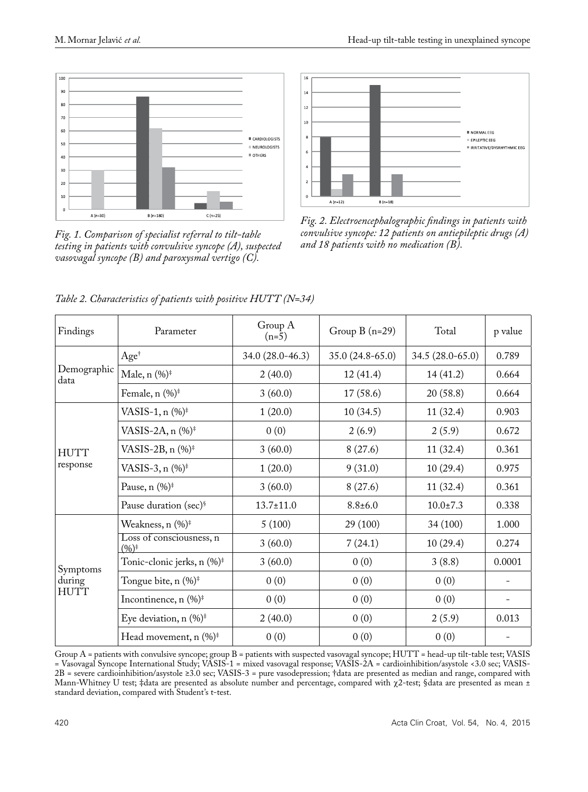

*and 18 patients with no medication (B). Fig. 1. Comparison of specialist referral to tilt-table testing in patients with convulsive syncope (A), suspected vasovagal syncope (B) and paroxysmal vertigo (C).* 



*Fig. 2. Electroencephalographic findings in patients with convulsive syncope: 12 patients on antiepileptic drugs (A)* 

| Findings                   | Parameter                                            | Group A<br>$(n=5)$ | Group $B(n=29)$   | Total            | p value           |
|----------------------------|------------------------------------------------------|--------------------|-------------------|------------------|-------------------|
| Demographic<br>data        | Age <sup>†</sup>                                     | 34.0 (28.0-46.3)   | $35.0(24.8-65.0)$ | 34.5 (28.0-65.0) | 0.789             |
|                            | Male, $n$ (%) <sup><math>\ddagger</math></sup>       | 2(40.0)            | 12(41.4)          | 14(41.2)         | 0.664             |
|                            | Female, $n$ (%) <sup><math>\ddag</math></sup>        | 3(60.0)            | 17(58.6)          | 20(58.8)         | 0.664             |
| <b>HUTT</b><br>response    | VASIS-1, $n$ (%) <sup><math>\ddag</math></sup>       | 1(20.0)            | 10(34.5)          | 11(32.4)         | 0.903             |
|                            | VASIS-2A, n (%) <sup>+</sup>                         | 0(0)               | 2(6.9)            | 2(5.9)           | 0.672             |
|                            | VASIS-2B, n (%) <sup>*</sup>                         | 3(60.0)            | 8(27.6)           | 11(32.4)         | 0.361             |
|                            | VASIS-3, n (%) <sup>‡</sup>                          | 1(20.0)            | 9(31.0)           | 10(29.4)         | 0.975             |
|                            | Pause, $n$ $(\%)^{\ddagger}$                         | 3(60.0)            | 8(27.6)           | 11(32.4)         | 0.361             |
|                            | Pause duration (sec) <sup>§</sup>                    | $13.7 \pm 11.0$    | $8.8 \pm 6.0$     | $10.0 \pm 7.3$   | 0.338             |
| Symptoms<br>during<br>HUTT | Weakness, n (%) <sup>‡</sup>                         | 5(100)             | 29 (100)          | 34(100)          | 1.000             |
|                            | Loss of consciousness, n<br>$(9/6)^{\ddagger}$       | 3(60.0)            | 7(24.1)           | 10(29.4)         | 0.274             |
|                            | Tonic-clonic jerks, n (%) <sup>‡</sup>               | 3(60.0)            | 0(0)              | 3(8.8)           | 0.0001            |
|                            | Tongue bite, n (%) <sup>#</sup>                      | 0(0)               | 0(0)              | 0(0)             |                   |
|                            | Incontinence, $n$ (%) <sup><math>\ddag</math></sup>  | 0(0)               | 0(0)              | 0(0)             | $\qquad \qquad -$ |
|                            | Eye deviation, $n \ (\%)^{\ddagger}$                 | 2(40.0)            | 0(0)              | 2(5.9)           | 0.013             |
|                            | Head movement, $n$ (%) <sup><math>\ddag</math></sup> | 0(0)               | 0(0)              | 0(0)             |                   |

*Table 2. Characteristics of patients with positive HUTT (N=34)*

Group A = patients with convulsive syncope; group B = patients with suspected vasovagal syncope; HUTT = head-up tilt-table test; VASIS = Vasovagal Syncope International Study; VASIS-1 = mixed vasovagal response; VASIS-2A = cardioinhibition/asystole <3.0 sec; VASIS-2B = severe cardioinhibition/asystole ≥3.0 sec; VASIS-3 = pure vasodepression; †data are presented as median and range, compared with Mann-Whitney U test; ‡data are presented as absolute number and percentage, compared with χ2-test; §data are presented as mean ± standard deviation, compared with Student's t-test.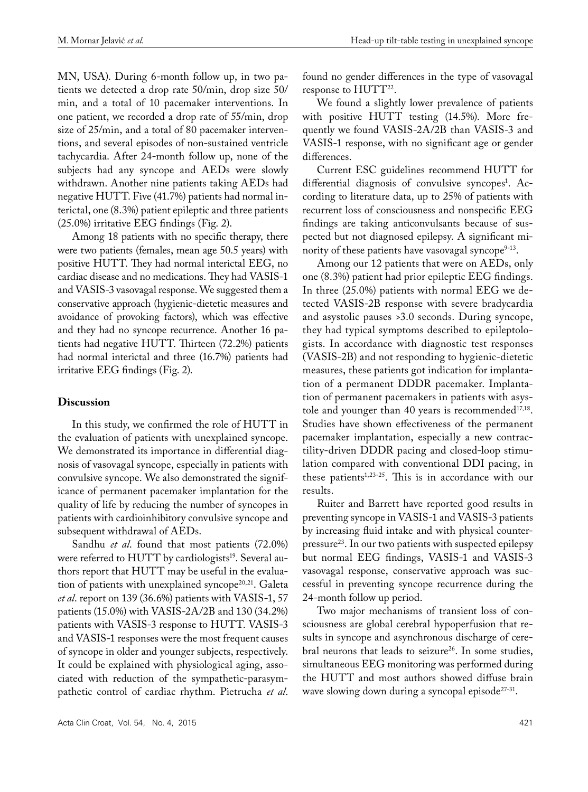MN, USA). During 6-month follow up, in two patients we detected a drop rate 50/min, drop size 50/ min, and a total of 10 pacemaker interventions. In one patient, we recorded a drop rate of 55/min, drop size of 25/min, and a total of 80 pacemaker interventions, and several episodes of non-sustained ventricle tachycardia. After 24-month follow up, none of the subjects had any syncope and AEDs were slowly withdrawn. Another nine patients taking AEDs had negative HUTT. Five (41.7%) patients had normal interictal, one (8.3%) patient epileptic and three patients (25.0%) irritative EEG findings (Fig. 2).

Among 18 patients with no specific therapy, there were two patients (females, mean age 50.5 years) with positive HUTT. They had normal interictal EEG, no cardiac disease and no medications. They had VASIS-1 and VASIS-3 vasovagal response. We suggested them a conservative approach (hygienic-dietetic measures and avoidance of provoking factors), which was effective and they had no syncope recurrence. Another 16 patients had negative HUTT. Thirteen (72.2%) patients had normal interictal and three (16.7%) patients had irritative EEG findings (Fig. 2).

## **Discussion**

In this study, we confirmed the role of HUTT in the evaluation of patients with unexplained syncope. We demonstrated its importance in differential diagnosis of vasovagal syncope, especially in patients with convulsive syncope. We also demonstrated the significance of permanent pacemaker implantation for the quality of life by reducing the number of syncopes in patients with cardioinhibitory convulsive syncope and subsequent withdrawal of AEDs.

Sandhu *et al*. found that most patients (72.0%) were referred to HUTT by cardiologists<sup>19</sup>. Several authors report that HUTT may be useful in the evaluation of patients with unexplained syncope<sup>20,21</sup>. Galeta *et al*. report on 139 (36.6%) patients with VASIS-1, 57 patients (15.0%) with VASIS-2A/2B and 130 (34.2%) patients with VASIS-3 response to HUTT. VASIS-3 and VASIS-1 responses were the most frequent causes of syncope in older and younger subjects, respectively. It could be explained with physiological aging, associated with reduction of the sympathetic-parasympathetic control of cardiac rhythm. Pietrucha *et al*.

Acta Clin Croat, Vol. 54, No. 4, 2015 421

found no gender differences in the type of vasovagal response to HUTT<sup>22</sup>.

We found a slightly lower prevalence of patients with positive HUTT testing (14.5%). More frequently we found VASIS-2A/2B than VASIS-3 and VASIS-1 response, with no significant age or gender differences.

Current ESC guidelines recommend HUTT for differential diagnosis of convulsive syncopes<sup>1</sup>. According to literature data, up to 25% of patients with recurrent loss of consciousness and nonspecific EEG findings are taking anticonvulsants because of suspected but not diagnosed epilepsy. A significant minority of these patients have vasovagal syncope $9-13$ .

Among our 12 patients that were on AEDs, only one (8.3%) patient had prior epileptic EEG findings. In three (25.0%) patients with normal EEG we detected VASIS-2B response with severe bradycardia and asystolic pauses >3.0 seconds. During syncope, they had typical symptoms described to epileptologists. In accordance with diagnostic test responses (VASIS-2B) and not responding to hygienic-dietetic measures, these patients got indication for implantation of a permanent DDDR pacemaker. Implantation of permanent pacemakers in patients with asystole and younger than 40 years is recommended<sup>17,18</sup>. Studies have shown effectiveness of the permanent pacemaker implantation, especially a new contractility-driven DDDR pacing and closed-loop stimulation compared with conventional DDI pacing, in these patients $1,23-25$ . This is in accordance with our results.

Ruiter and Barrett have reported good results in preventing syncope in VASIS-1 and VASIS-3 patients by increasing fluid intake and with physical counterpressure23. In our two patients with suspected epilepsy but normal EEG findings, VASIS-1 and VASIS-3 vasovagal response, conservative approach was successful in preventing syncope recurrence during the 24-month follow up period.

Two major mechanisms of transient loss of consciousness are global cerebral hypoperfusion that results in syncope and asynchronous discharge of cerebral neurons that leads to seizure<sup>26</sup>. In some studies, simultaneous EEG monitoring was performed during the HUTT and most authors showed diffuse brain wave slowing down during a syncopal episode $27-31$ .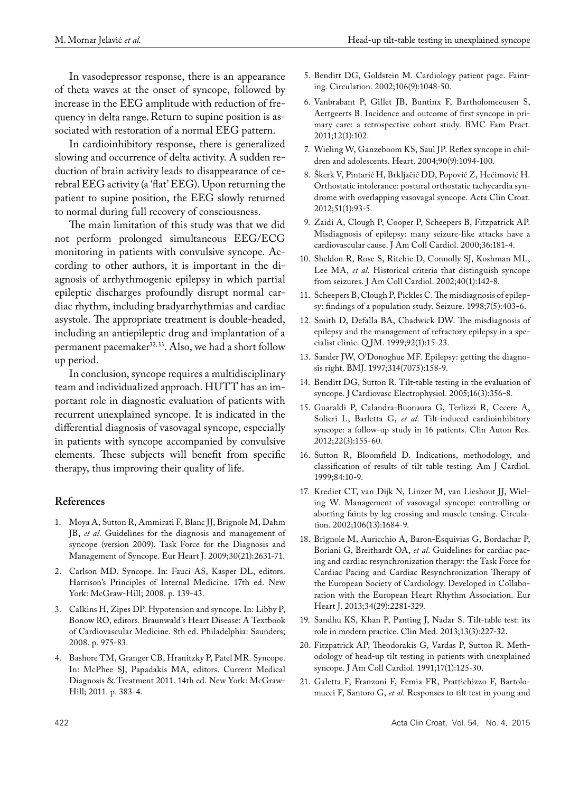In vasodepressor response, there is an appearance of theta waves at the onset of syncope, followed by increase in the EEG amplitude with reduction of frequency in delta range.Return to supine position is associated with restoration of a normal EEG pattern.

In cardioinhibitory response, there is generalized slowing and occurrence of delta activity. A sudden reduction of brain activity leads to disappearance of cerebral EEG activity (a 'flat' EEG). Upon returning the patient to supine position, the EEG slowly returned to normal during full recovery of consciousness.

The main limitation of this study was that we did not perform prolonged simultaneous EEG/ECG monitoring in patients with convulsive syncope. According to other authors, it is important in the diagnosis of arrhythmogenic epilepsy in which partial epileptic discharges profoundly disrupt normal cardiac rhythm, including bradyarrhythmias and cardiac asystole. The appropriate treatment is double-headed, including an antiepileptic drug and implantation of a permanent pacemaker<sup>32,33</sup>. Also, we had a short follow up period.

In conclusion, syncope requires a multidisciplinary team and individualized approach. HUTT has an important role in diagnostic evaluation of patients with recurrent unexplained syncope. It is indicated in the differential diagnosis of vasovagal syncope, especially in patients with syncope accompanied by convulsive elements. These subjects will benefit from specific therapy, thus improving their quality of life.

## **References**

- 1. Moya A, Sutton R, Ammirati F, Blanc JJ, Brignole M, Dahm JB, *et al*. Guidelines for the diagnosis and management of syncope (version 2009). Task Force for the Diagnosis and Management of Syncope. Eur Heart J. 2009;30(21):2631-71.
- 2. Carlson MD. Syncope. In: Fauci AS, Kasper DL, editors. Harrison's Principles of Internal Medicine. 17th ed. New York: McGraw-Hill; 2008. p. 139-43.
- 3. Calkins H, Zipes DP. Hypotension and syncope. In: Libby P, Bonow RO, editors. Braunwald's Heart Disease: A Textbook of Cardiovascular Medicine. 8th ed. Philadelphia: Saunders; 2008. p. 975-83.
- 4. Bashore TM, Granger CB, Hranitzky P, Patel MR. Syncope. In: McPhee SJ, Papadakis MA, editors. Current Medical Diagnosis & Treatment 2011. 14th ed. New York: McGraw-Hill; 2011. p. 383-4.
- 5. Benditt DG, Goldstein M. Cardiology patient page. Fainting. Circulation. 2002;106(9):1048-50.
- 6. Vanbrabant P, Gillet JB, Buntinx F, Bartholomeeusen S, Aertgeerts B. Incidence and outcome of first syncope in primary care: a retrospective cohort study. BMC Fam Pract. 2011;12(1):102.
- 7. Wieling W, Ganzeboom KS, Saul JP. Reflex syncope in children and adolescents. Heart. 2004;90(9):1094-100.
- 8. Škerk V, Pintarić H, Brkljačić DD, Popović Z, Hećimović H. Orthostatic intolerance: postural orthostatic tachycardia syndrome with overlapping vasovagal syncope. Acta Clin Croat. 2012;51(1):93-5.
- 9. Zaidi A, Clough P, Cooper P, Scheepers B, Fitzpatrick AP. Misdiagnosis of epilepsy: many seizure-like attacks have a cardiovascular cause. J Am Coll Cardiol. 2000;36:181-4.
- 10. Sheldon R, Rose S, Ritchie D, Connolly SJ, Koshman ML, Lee MA, *et al*. Historical criteria that distinguish syncope from seizures. J Am Coll Cardiol. 2002;40(1):142-8.
- 11. Scheepers B, Clough P, Pickles C. The misdiagnosis of epilepsy: findings of a population study. Seizure. 1998;7(5):403-6.
- 12. Smith D, Defalla BA, Chadwick DW. The misdiagnosis of epilepsy and the management of refractory epilepsy in a specialist clinic. Q JM. 1999;92(1):15-23.
- 13. Sander JW, O'Donoghue MF. Epilepsy: getting the diagnosis right. BMJ. 1997;314(7075):158-9.
- 14. Benditt DG, Sutton R. Tilt-table testing in the evaluation of syncope. J Cardiovasc Electrophysiol. 2005;16(3):356-8.
- 15. Guaraldi P, Calandra-Buonaura G, Terlizzi R, Cecere A, Solieri L, Barletta G, *et al*. Tilt-induced cardioinhibitory syncope: a follow-up study in 16 patients. Clin Auton Res. 2012;22(3):155-60.
- 16. Sutton R, Bloomfield D. Indications, methodology, and classification of results of tilt table testing. Am J Cardiol. 1999;84:10-9.
- 17. Krediet CT, van Dijk N, Linzer M, van Lieshout JJ, Wieling W. Management of vasovagal syncope: controlling or aborting faints by leg crossing and muscle tensing. Circulation. 2002;106(13):1684-9.
- 18. Brignole M, Auricchio A, Baron-Esquivias G, Bordachar P, Boriani G, Breithardt OA, *et al*. Guidelines for cardiac pacing and cardiac resynchronization therapy: the Task Force for Cardiac Pacing and Cardiac Resynchronization Therapy of the European Society of Cardiology. Developed in Collaboration with the European Heart Rhythm Association. Eur Heart J. 2013;34(29):2281-329.
- 19. Sandhu KS, Khan P, Panting J, Nadar S. Tilt-table test: its role in modern practice. Clin Med. 2013;13(3):227-32.
- 20. Fitzpatrick AP, Theodorakis G, Vardas P, Sutton R. Methodology of head-up tilt testing in patients with unexplained syncope. J Am Coll Cardiol. 1991;17(1):125-30.
- 21. Galetta F, Franzoni F, Femia FR, Prattichizzo F, Bartolomucci F, Santoro G, *et al*. Responses to tilt test in young and